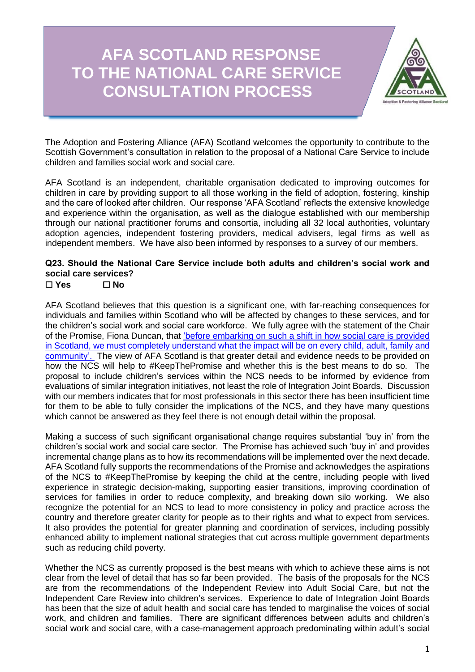# **AFA SCOTLAND RESPONSE TO THE NATIONAL CARE SERVICE CONSULTATION PROCESS**



The Adoption and Fostering Alliance (AFA) Scotland welcomes the opportunity to contribute to the Scottish Government's consultation in relation to the proposal of a National Care Service to include children and families social work and social care.

AFA Scotland is an independent, charitable organisation dedicated to improving outcomes for children in care by providing support to all those working in the field of adoption, fostering, kinship and the care of looked after children. Our response 'AFA Scotland' reflects the extensive knowledge and experience within the organisation, as well as the dialogue established with our membership through our national practitioner forums and consortia, including all 32 local authorities, voluntary adoption agencies, independent fostering providers, medical advisers, legal firms as well as independent members. We have also been informed by responses to a survey of our members.

## **Q23. Should the National Care Service include both adults and children's social work and social care services?**

## ☐ **Yes** ☐ **No**

AFA Scotland believes that this question is a significant one, with far-reaching consequences for individuals and families within Scotland who will be affected by changes to these services, and for the children's social work and social care workforce. We fully agree with the statement of the Chair of the Promise, Fiona Duncan, that ['before embarking on such a shift in how social care is provided](https://thepromise.scot/news/2021/09/03/fiona-duncan-one-question-and-one-question-only-series-2/)  [in Scotland, we must completely understand what the impact will be on every child, adult, family and](https://thepromise.scot/news/2021/09/03/fiona-duncan-one-question-and-one-question-only-series-2/)  [community'.](https://thepromise.scot/news/2021/09/03/fiona-duncan-one-question-and-one-question-only-series-2/) The view of AFA Scotland is that greater detail and evidence needs to be provided on how the NCS will help to #KeepThePromise and whether this is the best means to do so. The proposal to include children's services within the NCS needs to be informed by evidence from evaluations of similar integration initiatives, not least the role of Integration Joint Boards. Discussion with our members indicates that for most professionals in this sector there has been insufficient time for them to be able to fully consider the implications of the NCS, and they have many questions which cannot be answered as they feel there is not enough detail within the proposal.

Making a success of such significant organisational change requires substantial 'buy in' from the children's social work and social care sector. The Promise has achieved such 'buy in' and provides incremental change plans as to how its recommendations will be implemented over the next decade. AFA Scotland fully supports the recommendations of the Promise and acknowledges the aspirations of the NCS to #KeepThePromise by keeping the child at the centre, including people with lived experience in strategic decision-making, supporting easier transitions, improving coordination of services for families in order to reduce complexity, and breaking down silo working. We also recognize the potential for an NCS to lead to more consistency in policy and practice across the country and therefore greater clarity for people as to their rights and what to expect from services. It also provides the potential for greater planning and coordination of services, including possibly enhanced ability to implement national strategies that cut across multiple government departments such as reducing child poverty.

Whether the NCS as currently proposed is the best means with which to achieve these aims is not clear from the level of detail that has so far been provided. The basis of the proposals for the NCS are from the recommendations of the Independent Review into Adult Social Care, but not the Independent Care Review into children's services. Experience to date of Integration Joint Boards has been that the size of adult health and social care has tended to marginalise the voices of social work, and children and families. There are significant differences between adults and children's social work and social care, with a case-management approach predominating within adult's social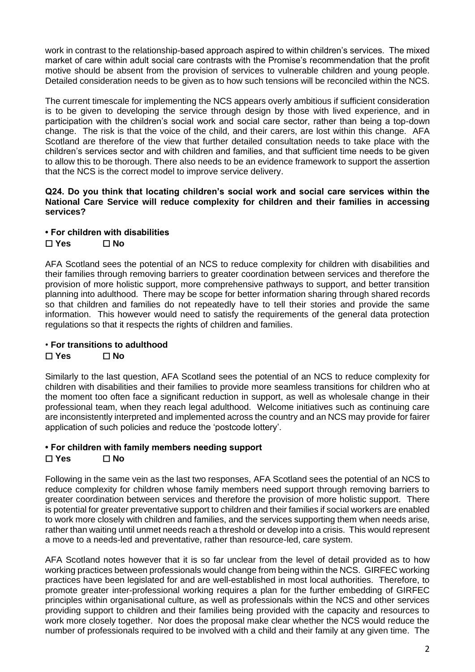work in contrast to the relationship-based approach aspired to within children's services. The mixed market of care within adult social care contrasts with the Promise's recommendation that the profit motive should be absent from the provision of services to vulnerable children and young people. Detailed consideration needs to be given as to how such tensions will be reconciled within the NCS.

The current timescale for implementing the NCS appears overly ambitious if sufficient consideration is to be given to developing the service through design by those with lived experience, and in participation with the children's social work and social care sector, rather than being a top-down change. The risk is that the voice of the child, and their carers, are lost within this change. AFA Scotland are therefore of the view that further detailed consultation needs to take place with the children's services sector and with children and families, and that sufficient time needs to be given to allow this to be thorough. There also needs to be an evidence framework to support the assertion that the NCS is the correct model to improve service delivery.

**Q24. Do you think that locating children's social work and social care services within the National Care Service will reduce complexity for children and their families in accessing services?**

#### **• For children with disabilities** ☐ **Yes** ☐ **No**

AFA Scotland sees the potential of an NCS to reduce complexity for children with disabilities and their families through removing barriers to greater coordination between services and therefore the provision of more holistic support, more comprehensive pathways to support, and better transition planning into adulthood. There may be scope for better information sharing through shared records so that children and families do not repeatedly have to tell their stories and provide the same information. This however would need to satisfy the requirements of the general data protection regulations so that it respects the rights of children and families.

## • **For transitions to adulthood**

## ☐ **Yes** ☐ **No**

Similarly to the last question, AFA Scotland sees the potential of an NCS to reduce complexity for children with disabilities and their families to provide more seamless transitions for children who at the moment too often face a significant reduction in support, as well as wholesale change in their professional team, when they reach legal adulthood. Welcome initiatives such as continuing care are inconsistently interpreted and implemented across the country and an NCS may provide for fairer application of such policies and reduce the 'postcode lottery'.

## **• For children with family members needing support**

## ☐ **Yes** ☐ **No**

Following in the same vein as the last two responses, AFA Scotland sees the potential of an NCS to reduce complexity for children whose family members need support through removing barriers to greater coordination between services and therefore the provision of more holistic support. There is potential for greater preventative support to children and their families if social workers are enabled to work more closely with children and families, and the services supporting them when needs arise, rather than waiting until unmet needs reach a threshold or develop into a crisis. This would represent a move to a needs-led and preventative, rather than resource-led, care system.

AFA Scotland notes however that it is so far unclear from the level of detail provided as to how working practices between professionals would change from being within the NCS. GIRFEC working practices have been legislated for and are well-established in most local authorities. Therefore, to promote greater inter-professional working requires a plan for the further embedding of GIRFEC principles within organisational culture, as well as professionals within the NCS and other services providing support to children and their families being provided with the capacity and resources to work more closely together. Nor does the proposal make clear whether the NCS would reduce the number of professionals required to be involved with a child and their family at any given time. The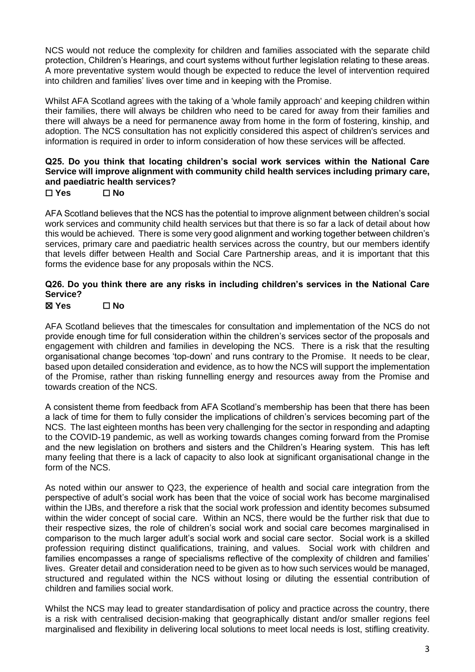NCS would not reduce the complexity for children and families associated with the separate child protection, Children's Hearings, and court systems without further legislation relating to these areas. A more preventative system would though be expected to reduce the level of intervention required into children and families' lives over time and in keeping with the Promise.

Whilst AFA Scotland agrees with the taking of a 'whole family approach' and keeping children within their families, there will always be children who need to be cared for away from their families and there will always be a need for permanence away from home in the form of fostering, kinship, and adoption. The NCS consultation has not explicitly considered this aspect of children's services and information is required in order to inform consideration of how these services will be affected.

## **Q25. Do you think that locating children's social work services within the National Care Service will improve alignment with community child health services including primary care, and paediatric health services?**

#### ☐ **Yes** ☐ **No**

AFA Scotland believes that the NCS has the potential to improve alignment between children's social work services and community child health services but that there is so far a lack of detail about how this would be achieved. There is some very good alignment and working together between children's services, primary care and paediatric health services across the country, but our members identify that levels differ between Health and Social Care Partnership areas, and it is important that this forms the evidence base for any proposals within the NCS.

## **Q26. Do you think there are any risks in including children's services in the National Care Service?**

## ☒ **Yes** ☐ **No**

AFA Scotland believes that the timescales for consultation and implementation of the NCS do not provide enough time for full consideration within the children's services sector of the proposals and engagement with children and families in developing the NCS. There is a risk that the resulting organisational change becomes 'top-down' and runs contrary to the Promise. It needs to be clear, based upon detailed consideration and evidence, as to how the NCS will support the implementation of the Promise, rather than risking funnelling energy and resources away from the Promise and towards creation of the NCS.

A consistent theme from feedback from AFA Scotland's membership has been that there has been a lack of time for them to fully consider the implications of children's services becoming part of the NCS. The last eighteen months has been very challenging for the sector in responding and adapting to the COVID-19 pandemic, as well as working towards changes coming forward from the Promise and the new legislation on brothers and sisters and the Children's Hearing system. This has left many feeling that there is a lack of capacity to also look at significant organisational change in the form of the NCS.

As noted within our answer to Q23, the experience of health and social care integration from the perspective of adult's social work has been that the voice of social work has become marginalised within the IJBs, and therefore a risk that the social work profession and identity becomes subsumed within the wider concept of social care. Within an NCS, there would be the further risk that due to their respective sizes, the role of children's social work and social care becomes marginalised in comparison to the much larger adult's social work and social care sector. Social work is a skilled profession requiring distinct qualifications, training, and values. Social work with children and families encompasses a range of specialisms reflective of the complexity of children and families' lives. Greater detail and consideration need to be given as to how such services would be managed, structured and regulated within the NCS without losing or diluting the essential contribution of children and families social work.

Whilst the NCS may lead to greater standardisation of policy and practice across the country, there is a risk with centralised decision-making that geographically distant and/or smaller regions feel marginalised and flexibility in delivering local solutions to meet local needs is lost, stifling creativity.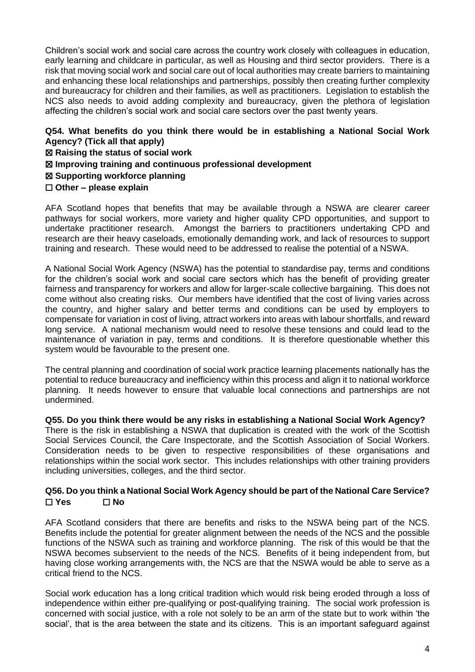Children's social work and social care across the country work closely with colleagues in education, early learning and childcare in particular, as well as Housing and third sector providers. There is a risk that moving social work and social care out of local authorities may create barriers to maintaining and enhancing these local relationships and partnerships, possibly then creating further complexity and bureaucracy for children and their families, as well as practitioners. Legislation to establish the NCS also needs to avoid adding complexity and bureaucracy, given the plethora of legislation affecting the children's social work and social care sectors over the past twenty years.

#### **Q54. What benefits do you think there would be in establishing a National Social Work Agency? (Tick all that apply)**

- ☒ **Raising the status of social work**
- ☒ **Improving training and continuous professional development**
- ☒ **Supporting workforce planning**
- ☐ **Other – please explain**

AFA Scotland hopes that benefits that may be available through a NSWA are clearer career pathways for social workers, more variety and higher quality CPD opportunities, and support to undertake practitioner research. Amongst the barriers to practitioners undertaking CPD and research are their heavy caseloads, emotionally demanding work, and lack of resources to support training and research. These would need to be addressed to realise the potential of a NSWA.

A National Social Work Agency (NSWA) has the potential to standardise pay, terms and conditions for the children's social work and social care sectors which has the benefit of providing greater fairness and transparency for workers and allow for larger-scale collective bargaining. This does not come without also creating risks. Our members have identified that the cost of living varies across the country, and higher salary and better terms and conditions can be used by employers to compensate for variation in cost of living, attract workers into areas with labour shortfalls, and reward long service. A national mechanism would need to resolve these tensions and could lead to the maintenance of variation in pay, terms and conditions. It is therefore questionable whether this system would be favourable to the present one.

The central planning and coordination of social work practice learning placements nationally has the potential to reduce bureaucracy and inefficiency within this process and align it to national workforce planning. It needs however to ensure that valuable local connections and partnerships are not undermined.

**Q55. Do you think there would be any risks in establishing a National Social Work Agency?** There is the risk in establishing a NSWA that duplication is created with the work of the Scottish Social Services Council, the Care Inspectorate, and the Scottish Association of Social Workers. Consideration needs to be given to respective responsibilities of these organisations and relationships within the social work sector. This includes relationships with other training providers including universities, colleges, and the third sector.

#### **Q56. Do you think a National Social Work Agency should be part of the National Care Service?** ☐ **Yes** ☐ **No**

AFA Scotland considers that there are benefits and risks to the NSWA being part of the NCS. Benefits include the potential for greater alignment between the needs of the NCS and the possible functions of the NSWA such as training and workforce planning. The risk of this would be that the NSWA becomes subservient to the needs of the NCS. Benefits of it being independent from, but having close working arrangements with, the NCS are that the NSWA would be able to serve as a critical friend to the NCS.

Social work education has a long critical tradition which would risk being eroded through a loss of independence within either pre-qualifying or post-qualifying training. The social work profession is concerned with social justice, with a role not solely to be an arm of the state but to work within 'the social', that is the area between the state and its citizens. This is an important safeguard against